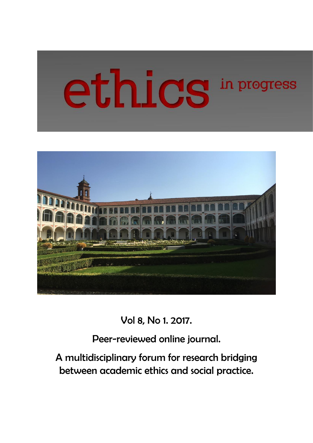# ethics in progress



Vol 8, No 1. 2017.

Peer-reviewed online journal.

A multidisciplinary forum for research bridging between academic ethics and social practice.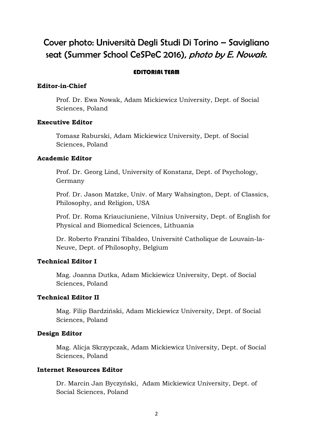# Cover photo: Università Degli Studi Di Torino – Savigliano seat (Summer School CeSPeC 2016), photo by E. Nowak.

### EDITORIAL TEAM

### **Editor-in-Chief**

Prof. Dr. Ewa Nowak, Adam Mickiewicz University, Dept. of Social Sciences, Poland

### **Executive Editor**

Tomasz Raburski, Adam Mickiewicz University, Dept. of Social Sciences, Poland

### **Academic Editor**

Prof. Dr. Georg Lind, University of Konstanz, Dept. of Psychology, Germany

Prof. Dr. Jason Matzke, Univ. of Mary Wahsington, Dept. of Classics, Philosophy, and Religion, USA

Prof. Dr. Roma Kriauciuniene, Vilnius University, Dept. of English for Physical and Biomedical Sciences, Lithuania

Dr. Roberto Franzini Tibaldeo, Université Catholique de Louvain-la-Neuve, Dept. of Philosophy, Belgium

### **Technical Editor I**

Mag. Joanna Dutka, Adam Mickiewicz University, Dept. of Social Sciences, Poland

### **Technical Editor II**

Mag. Filip Bardziński, Adam Mickiewicz University, Dept. of Social Sciences, Poland

### **Design Editor**

Mag. Alicja Skrzypczak, Adam Mickiewicz University, Dept. of Social Sciences, Poland

### **Internet Resources Editor**

Dr. Marcin Jan Byczyński, Adam Mickiewicz University, Dept. of Social Sciences, Poland